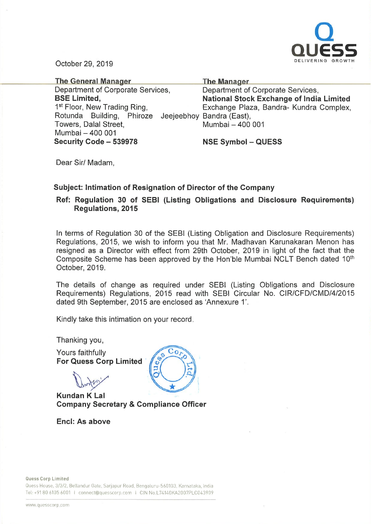

October 29, 2019

| <b>The General Manager</b>                          | <b>The Manager</b>                              |
|-----------------------------------------------------|-------------------------------------------------|
| Department of Corporate Services,                   | Department of Corporate Services,               |
| <b>BSE Limited,</b>                                 | <b>National Stock Exchange of India Limited</b> |
| 1 <sup>st</sup> Floor, New Trading Ring,            | Exchange Plaza, Bandra- Kundra Complex,         |
| Rotunda Building, Phiroze Jeejeebhoy Bandra (East), |                                                 |
| Towers, Dalal Street,                               | Mumbai - 400 001                                |
| Mumbai - 400 001                                    |                                                 |
| Security Code - 539978                              | <b>NSE Symbol - QUESS</b>                       |

Dear Sir/ Madam,

## Subject: Intimation of Resignation of Director of the Company

 $Co<sub>I</sub>$ 

## Ref: Regulation 30 of SEBI (Listing Obligations and Disclosure Requirements) Regulations, 2015

In terms of Regulation 30 of the SEBI (Listing Obligation and Disclosure Requirements) Regulations, 2015, we wish to inform you that Mr. Madhavan Karunakaran Menon has resigned as <sup>a</sup> Director with effect from 29th October, 2019 in light of the fact that the Composite Scheme has been approved by the Hon'ble Mumbai NCLT Bench dated 10<sup>th</sup> October, 2019.

The details of change as required under SEBI (Listing Obligations and Disclosure Requirements) Regulations, 2015 read with SEBI Circular No. CIR/CFD/CMD/4/2015 dated 9th September, 2015 are enclosed as 'Annexure 1'.

Kindly take this intimation on your record.

Thanking you,

Yours faithfully For Quess Corp Limited '

**D** 

Kundan K Lal Company Secretary & Compliance Officer

Encl: As above